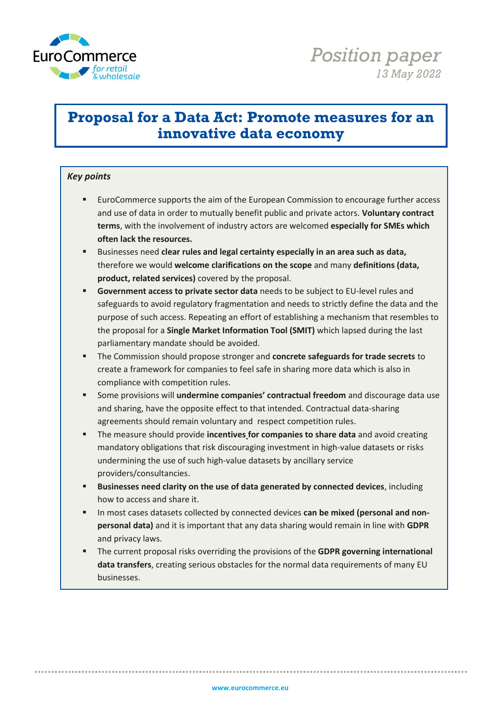

# **Proposal for a Data Act: Promote measures for an innovative data economy**

#### *Key points*

- EuroCommerce supports the aim of the European Commission to encourage further access and use of data in order to mutually benefit public and private actors. **Voluntary contract terms**, with the involvement of industry actors are welcomed **especially for SMEs which often lack the resources.**
- Businesses need **clear rules and legal certainty especially in an area such as data,**  therefore we would **welcome clarifications on the scope** and many **definitions (data, product, related services)** covered by the proposal.
- **Government access to private sector data** needs to be subject to EU-level rules and safeguards to avoid regulatory fragmentation and needs to strictly define the data and the purpose of such access. Repeating an effort of establishing a mechanism that resembles to the proposal for a **Single Market Information Tool (SMIT)** which lapsed during the last parliamentary mandate should be avoided.
- The Commission should propose stronger and **concrete safeguards for trade secrets** to create a framework for companies to feel safe in sharing more data which is also in compliance with competition rules.
- Some provisions will **undermine companies' contractual freedom** and discourage data use and sharing, have the opposite effect to that intended. Contractual data-sharing agreements should remain voluntary and respect competition rules.
- The measure should provide **incentives for companies to share data** and avoid creating mandatory obligations that risk discouraging investment in high-value datasets or risks undermining the use of such high-value datasets by ancillary service providers/consultancies.
- **Businesses need clarity on the use of data generated by connected devices**, including how to access and share it.
- In most cases datasets collected by connected devices **can be mixed (personal and nonpersonal data)** and it is important that any data sharing would remain in line with **GDPR** and privacy laws.
- The current proposal risks overriding the provisions of the **GDPR governing international data transfers**, creating serious obstacles for the normal data requirements of many EU businesses.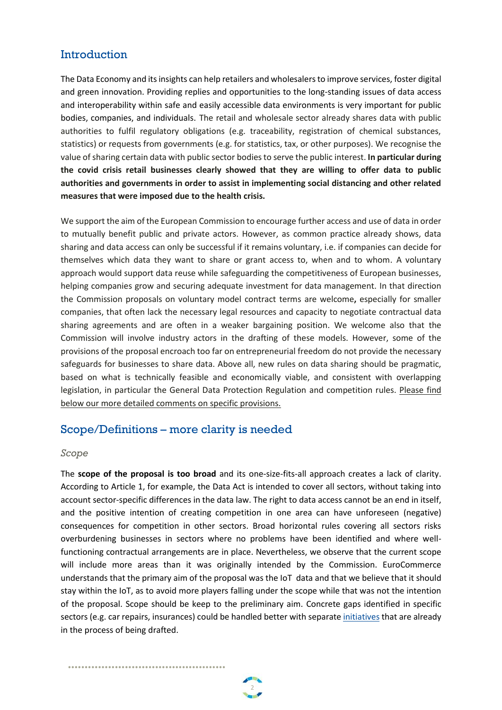# Introduction

The Data Economy and its insights can help retailers and wholesalersto improve services, foster digital and green innovation. Providing replies and opportunities to the long-standing issues of data access and interoperability within safe and easily accessible data environments is very important for public bodies, companies, and individuals. The retail and wholesale sector already shares data with public authorities to fulfil regulatory obligations (e.g. traceability, registration of chemical substances, statistics) or requests from governments (e.g. for statistics, tax, or other purposes). We recognise the value of sharing certain data with public sector bodies to serve the public interest. **In particular during the covid crisis retail businesses clearly showed that they are willing to offer data to public authorities and governments in order to assist in implementing social distancing and other related measures that were imposed due to the health crisis.**

We support the aim of the European Commission to encourage further access and use of data in order to mutually benefit public and private actors. However, as common practice already shows, data sharing and data access can only be successful if it remains voluntary, i.e. if companies can decide for themselves which data they want to share or grant access to, when and to whom. A voluntary approach would support data reuse while safeguarding the competitiveness of European businesses, helping companies grow and securing adequate investment for data management. In that direction the Commission proposals on voluntary model contract terms are welcome**,** especially for smaller companies, that often lack the necessary legal resources and capacity to negotiate contractual data sharing agreements and are often in a weaker bargaining position. We welcome also that the Commission will involve industry actors in the drafting of these models. However, some of the provisions of the proposal encroach too far on entrepreneurial freedom do not provide the necessary safeguards for businesses to share data. Above all, new rules on data sharing should be pragmatic, based on what is technically feasible and economically viable, and consistent with overlapping legislation, in particular the General Data Protection Regulation and competition rules. Please find below our more detailed comments on specific provisions.

### Scope/Definitions – more clarity is needed

•••••••••••••••••••••••••••••••••••••••••••••••

 $\mathbf{e}$ 

#### *Scope*

The **scope of the proposal is too broad** and its one-size-fits-all approach creates a lack of clarity. According to Article 1, for example, the Data Act is intended to cover all sectors, without taking into account sector-specific differences in the data law. The right to data access cannot be an end in itself, and the positive intention of creating competition in one area can have unforeseen (negative) consequences for competition in other sectors. Broad horizontal rules covering all sectors risks overburdening businesses in sectors where no problems have been identified and where wellfunctioning contractual arrangements are in place. Nevertheless, we observe that the current scope will include more areas than it was originally intended by the Commission. EuroCommerce understands that the primary aim of the proposal was the IoT data and that we believe that it should stay within the IoT, as to avoid more players falling under the scope while that was not the intention of the proposal. Scope should be keep to the preliminary aim. Concrete gaps identified in specific sectors (e.g. car repairs, insurances) could be handled better with separate [initiatives](https://ec.europa.eu/info/law/better-regulation/have-your-say/initiatives/13180-In-vehicle-generated-data-EU-rules-for-services-based-on-access-to-car-data_en) that are already in the process of being drafted.

2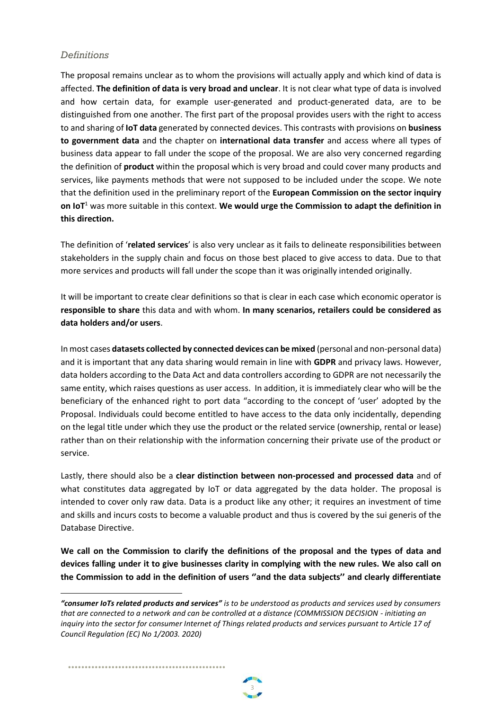#### *Definitions*

The proposal remains unclear as to whom the provisions will actually apply and which kind of data is affected. **The definition of data is very broad and unclear**. It is not clear what type of data is involved and how certain data, for example user-generated and product-generated data, are to be distinguished from one another. The first part of the proposal provides users with the right to access to and sharing of **IoT data** generated by connected devices. This contrasts with provisions on **business to government data** and the chapter on **international data transfer** and access where all types of business data appear to fall under the scope of the proposal. We are also very concerned regarding the definition of **product** within the proposal which is very broad and could cover many products and services, like payments methods that were not supposed to be included under the scope. We note that the definition used in the preliminary report of the **European Commission on the sector inquiry on IoT**<sup>1</sup> was more suitable in this context. **We would urge the Commission to adapt the definition in this direction.** 

The definition of '**related services**' is also very unclear as it fails to delineate responsibilities between stakeholders in the supply chain and focus on those best placed to give access to data. Due to that more services and products will fall under the scope than it was originally intended originally.

It will be important to create clear definitions so that is clear in each case which economic operator is **responsible to share** this data and with whom. **In many scenarios, retailers could be considered as data holders and/or users**.

In most cases **datasets collected by connected devices can be mixed** (personal and non-personal data) and it is important that any data sharing would remain in line with **GDPR** and privacy laws. However, data holders according to the Data Act and data controllers according to GDPR are not necessarily the same entity, which raises questions as user access. In addition, it is immediately clear who will be the beneficiary of the enhanced right to port data "according to the concept of 'user' adopted by the Proposal. Individuals could become entitled to have access to the data only incidentally, depending on the legal title under which they use the product or the related service (ownership, rental or lease) rather than on their relationship with the information concerning their private use of the product or service.

Lastly, there should also be a **clear distinction between non-processed and processed data** and of what constitutes data aggregated by IoT or data aggregated by the data holder. The proposal is intended to cover only raw data. Data is a product like any other; it requires an investment of time and skills and incurs costs to become a valuable product and thus is covered by the sui generis of the Database Directive.

**We call on the Commission to clarify the definitions of the proposal and the types of data and devices falling under it to give businesses clarity in complying with the new rules. We also call on the Commission to add in the definition of users ''and the data subjects'' and clearly differentiate** 

*<sup>&</sup>quot;consumer IoTs related products and services" is to be understood as products and services used by consumers that are connected to a network and can be controlled at a distance (COMMISSION DECISION - initiating an inquiry into the sector for consumer Internet of Things related products and services pursuant to Article 17 of Council Regulation (EC) No 1/2003. 2020)*



•••••••••••••••••••••••••••••••••••••••••••••••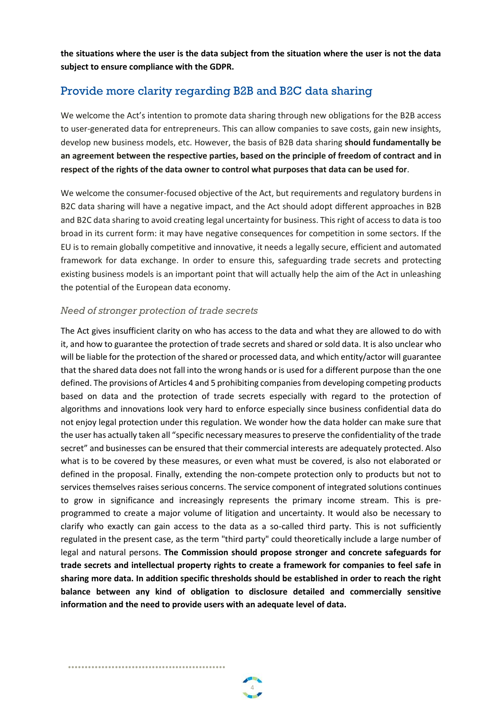**the situations where the user is the data subject from the situation where the user is not the data subject to ensure compliance with the GDPR.**

# Provide more clarity regarding B2B and B2C data sharing

We welcome the Act's intention to promote data sharing through new obligations for the B2B access to user-generated data for entrepreneurs. This can allow companies to save costs, gain new insights, develop new business models, etc. However, the basis of B2B data sharing **should fundamentally be an agreement between the respective parties, based on the principle of freedom of contract and in respect of the rights of the data owner to control what purposes that data can be used for**.

We welcome the consumer-focused objective of the Act, but requirements and regulatory burdens in B2C data sharing will have a negative impact, and the Act should adopt different approaches in B2B and B2C data sharing to avoid creating legal uncertainty for business. This right of access to data is too broad in its current form: it may have negative consequences for competition in some sectors. If the EU is to remain globally competitive and innovative, it needs a legally secure, efficient and automated framework for data exchange. In order to ensure this, safeguarding trade secrets and protecting existing business models is an important point that will actually help the aim of the Act in unleashing the potential of the European data economy.

#### *Need of stronger protection of trade secrets*

•••••••••••••••••••••••••••••••••••••••••••••••

 $\overline{A}$ 

The Act gives insufficient clarity on who has access to the data and what they are allowed to do with it, and how to guarantee the protection of trade secrets and shared or sold data. It is also unclear who will be liable for the protection of the shared or processed data, and which entity/actor will guarantee that the shared data does not fall into the wrong hands or is used for a different purpose than the one defined. The provisions of Articles 4 and 5 prohibiting companies from developing competing products based on data and the protection of trade secrets especially with regard to the protection of algorithms and innovations look very hard to enforce especially since business confidential data do not enjoy legal protection under this regulation. We wonder how the data holder can make sure that the user has actually taken all "specific necessary measures to preserve the confidentiality of the trade secret" and businesses can be ensured that their commercial interests are adequately protected. Also what is to be covered by these measures, or even what must be covered, is also not elaborated or defined in the proposal. Finally, extending the non-compete protection only to products but not to services themselves raises serious concerns. The service component of integrated solutions continues to grow in significance and increasingly represents the primary income stream. This is preprogrammed to create a major volume of litigation and uncertainty. It would also be necessary to clarify who exactly can gain access to the data as a so-called third party. This is not sufficiently regulated in the present case, as the term "third party" could theoretically include a large number of legal and natural persons. **The Commission should propose stronger and concrete safeguards for trade secrets and intellectual property rights to create a framework for companies to feel safe in sharing more data. In addition specific thresholds should be established in order to reach the right balance between any kind of obligation to disclosure detailed and commercially sensitive information and the need to provide users with an adequate level of data.** 

4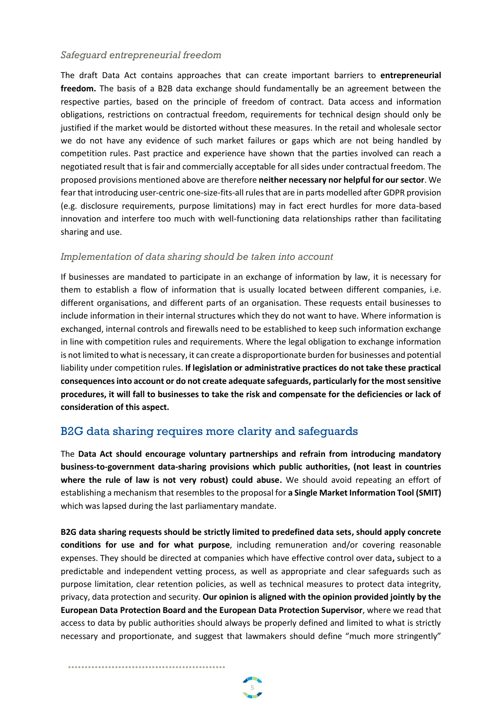#### *Safeguard entrepreneurial freedom*

The draft Data Act contains approaches that can create important barriers to **entrepreneurial freedom.** The basis of a B2B data exchange should fundamentally be an agreement between the respective parties, based on the principle of freedom of contract. Data access and information obligations, restrictions on contractual freedom, requirements for technical design should only be justified if the market would be distorted without these measures. In the retail and wholesale sector we do not have any evidence of such market failures or gaps which are not being handled by competition rules. Past practice and experience have shown that the parties involved can reach a negotiated result that is fair and commercially acceptable for all sides under contractual freedom. The proposed provisions mentioned above are therefore **neither necessary nor helpful for our sector**. We fear that introducing user-centric one-size-fits-all rules that are in parts modelled after GDPR provision (e.g. disclosure requirements, purpose limitations) may in fact erect hurdles for more data-based innovation and interfere too much with well-functioning data relationships rather than facilitating sharing and use.

#### *Implementation of data sharing should be taken into account*

If businesses are mandated to participate in an exchange of information by law, it is necessary for them to establish a flow of information that is usually located between different companies, i.e. different organisations, and different parts of an organisation. These requests entail businesses to include information in their internal structures which they do not want to have. Where information is exchanged, internal controls and firewalls need to be established to keep such information exchange in line with competition rules and requirements. Where the legal obligation to exchange information is not limited to what is necessary, it can create a disproportionate burden for businesses and potential liability under competition rules. **If legislation or administrative practices do not take these practical consequences into account or do not create adequate safeguards, particularly for the most sensitive procedures, it will fall to businesses to take the risk and compensate for the deficiencies or lack of consideration of this aspect.**

# B2G data sharing requires more clarity and safeguards

The **Data Act should encourage voluntary partnerships and refrain from introducing mandatory business-to-government data-sharing provisions which public authorities, (not least in countries where the rule of law is not very robust) could abuse.** We should avoid repeating an effort of establishing a mechanism that resembles to the proposal for **a Single Market Information Tool (SMIT)** which was lapsed during the last parliamentary mandate.

**B2G data sharing requests should be strictly limited to predefined data sets, should apply concrete conditions for use and for what purpose**, including remuneration and/or covering reasonable expenses. They should be directed at companies which have effective control over data**,** subject to a predictable and independent vetting process, as well as appropriate and clear safeguards such as purpose limitation, clear retention policies, as well as technical measures to protect data integrity, privacy, data protection and security. **Our opinion is aligned with the opinion provided jointly by the European Data Protection Board and the European Data Protection Supervisor**, where we read that access to data by public authorities should always be properly defined and limited to what is strictly necessary and proportionate, and suggest that lawmakers should define "much more stringently"

5

•••••••••••••••••••••••••••••••••••••••••••••••

••••••••••••••••••••••••••••••••••••••••••••••••••••••••••••••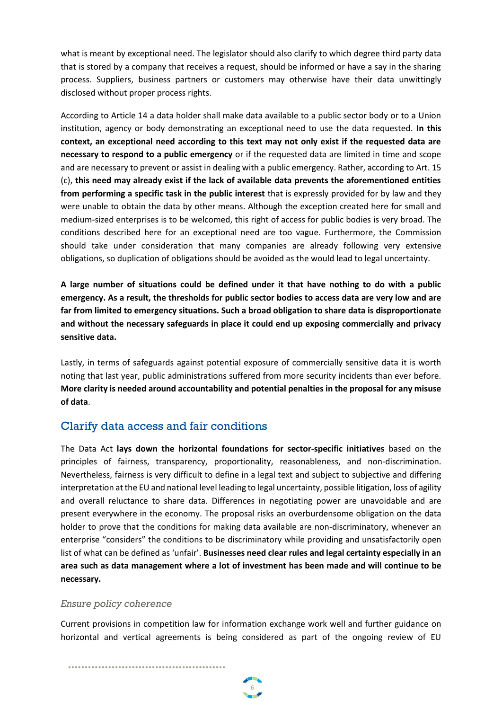what is meant by exceptional need. The legislator should also clarify to which degree third party data that is stored by a company that receives a request, should be informed or have a say in the sharing process. Suppliers, business partners or customers may otherwise have their data unwittingly disclosed without proper process rights.

According to Article 14 a data holder shall make data available to a public sector body or to a Union institution, agency or body demonstrating an exceptional need to use the data requested. **In this context, an exceptional need according to this text may not only exist if the requested data are necessary to respond to a public emergency** or if the requested data are limited in time and scope and are necessary to prevent or assist in dealing with a public emergency. Rather, according to Art. 15 (c), **this need may already exist if the lack of available data prevents the aforementioned entities from performing a specific task in the public interest** that is expressly provided for by law and they were unable to obtain the data by other means. Although the exception created here for small and medium-sized enterprises is to be welcomed, this right of access for public bodies is very broad. The conditions described here for an exceptional need are too vague. Furthermore, the Commission should take under consideration that many companies are already following very extensive obligations, so duplication of obligations should be avoided as the would lead to legal uncertainty.

**A large number of situations could be defined under it that have nothing to do with a public emergency. As a result, the thresholds for public sector bodies to access data are very low and are far from limited to emergency situations. Such a broad obligation to share data is disproportionate and without the necessary safeguards in place it could end up exposing commercially and privacy sensitive data.** 

Lastly, in terms of safeguards against potential exposure of commercially sensitive data it is worth noting that last year, public administrations suffered from more security incidents than ever before. **More clarity is needed around accountability and potential penalties in the proposal for any misuse of data**.

# Clarify data access and fair conditions

The Data Act **lays down the horizontal foundations for sector-specific initiatives** based on the principles of fairness, transparency, proportionality, reasonableness, and non-discrimination. Nevertheless, fairness is very difficult to define in a legal text and subject to subjective and differing interpretation at the EU and national level leading to legal uncertainty, possible litigation, loss of agility and overall reluctance to share data. Differences in negotiating power are unavoidable and are present everywhere in the economy. The proposal risks an overburdensome obligation on the data holder to prove that the conditions for making data available are non-discriminatory, whenever an enterprise "considers" the conditions to be discriminatory while providing and unsatisfactorily open list of what can be defined as 'unfair'. **Businesses need clear rules and legal certainty especially in an area such as data management where a lot of investment has been made and will continue to be necessary.** 

#### *Ensure policy coherence*

•••••••••••••••••••••••••••••••••••••••••••••••

Current provisions in competition law for information exchange work well and further guidance on horizontal and vertical agreements is being considered as part of the ongoing review of EU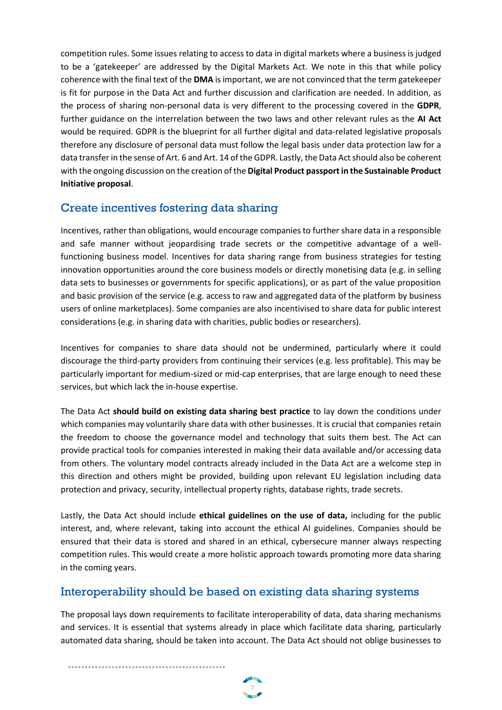competition rules. Some issues relating to access to data in digital markets where a business is judged to be a 'gatekeeper' are addressed by the Digital Markets Act. We note in this that while policy coherence with the final text of the **DMA** is important, we are not convinced that the term gatekeeper is fit for purpose in the Data Act and further discussion and clarification are needed. In addition, as the process of sharing non-personal data is very different to the processing covered in the **GDPR**, further guidance on the interrelation between the two laws and other relevant rules as the **AI Act** would be required. GDPR is the blueprint for all further digital and data-related legislative proposals therefore any disclosure of personal data must follow the legal basis under data protection law for a data transfer in the sense of Art. 6 and Art. 14 of the GDPR. Lastly, the Data Act should also be coherent with the ongoing discussion on the creation of the **Digital Product passport in the Sustainable Product Initiative proposal**.

# Create incentives fostering data sharing

Incentives, rather than obligations, would encourage companies to further share data in a responsible and safe manner without jeopardising trade secrets or the competitive advantage of a wellfunctioning business model. Incentives for data sharing range from business strategies for testing innovation opportunities around the core business models or directly monetising data (e.g. in selling data sets to businesses or governments for specific applications), or as part of the value proposition and basic provision of the service (e.g. access to raw and aggregated data of the platform by business users of online marketplaces). Some companies are also incentivised to share data for public interest considerations (e.g. in sharing data with charities, public bodies or researchers).

Incentives for companies to share data should not be undermined, particularly where it could discourage the third-party providers from continuing their services (e.g. less profitable). This may be particularly important for medium-sized or mid-cap enterprises, that are large enough to need these services, but which lack the in-house expertise.

The Data Act **should build on existing data sharing best practice** to lay down the conditions under which companies may voluntarily share data with other businesses. It is crucial that companies retain the freedom to choose the governance model and technology that suits them best. The Act can provide practical tools for companies interested in making their data available and/or accessing data from others. The voluntary model contracts already included in the Data Act are a welcome step in this direction and others might be provided, building upon relevant EU legislation including data protection and privacy, security, intellectual property rights, database rights, trade secrets.

Lastly, the Data Act should include **ethical guidelines on the use of data,** including for the public interest, and, where relevant, taking into account the ethical AI guidelines. Companies should be ensured that their data is stored and shared in an ethical, cybersecure manner always respecting competition rules. This would create a more holistic approach towards promoting more data sharing in the coming years.

# Interoperability should be based on existing data sharing systems

The proposal lays down requirements to facilitate interoperability of data, data sharing mechanisms and services. It is essential that systems already in place which facilitate data sharing, particularly automated data sharing, should be taken into account. The Data Act should not oblige businesses to

•••••••••••••••••••••••••••••••••••••••••••••••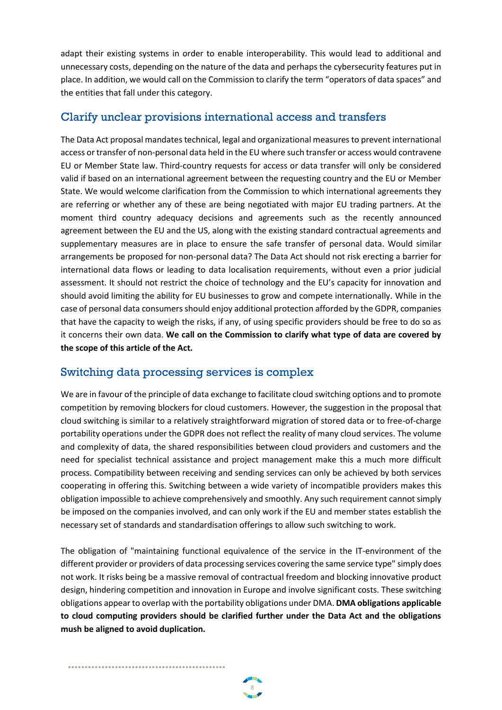adapt their existing systems in order to enable interoperability. This would lead to additional and unnecessary costs, depending on the nature of the data and perhaps the cybersecurity features put in place. In addition, we would call on the Commission to clarify the term "operators of data spaces" and the entities that fall under this category.

### Clarify unclear provisions international access and transfers

The Data Act proposal mandates technical, legal and organizational measures to prevent international access or transfer of non-personal data held in the EU where such transfer or access would contravene EU or Member State law. Third-country requests for access or data transfer will only be considered valid if based on an international agreement between the requesting country and the EU or Member State. We would welcome clarification from the Commission to which international agreements they are referring or whether any of these are being negotiated with major EU trading partners. At the moment third country adequacy decisions and agreements such as the recently announced agreement between the EU and the US, along with the existing standard contractual agreements and supplementary measures are in place to ensure the safe transfer of personal data. Would similar arrangements be proposed for non-personal data? The Data Act should not risk erecting a barrier for international data flows or leading to data localisation requirements, without even a prior judicial assessment. It should not restrict the choice of technology and the EU's capacity for innovation and should avoid limiting the ability for EU businesses to grow and compete internationally. While in the case of personal data consumers should enjoy additional protection afforded by the GDPR, companies that have the capacity to weigh the risks, if any, of using specific providers should be free to do so as it concerns their own data. **We call on the Commission to clarify what type of data are covered by the scope of this article of the Act.**

# Switching data processing services is complex

•••••••••••••••••••••••••••••••••••••••••••••••

••••••••••••••••••••••••••••••••••••••••••••••••••••••••••••••

We are in favour of the principle of data exchange to facilitate cloud switching options and to promote competition by removing blockers for cloud customers. However, the suggestion in the proposal that cloud switching is similar to a relatively straightforward migration of stored data or to free-of-charge portability operations under the GDPR does not reflect the reality of many cloud services. The volume and complexity of data, the shared responsibilities between cloud providers and customers and the need for specialist technical assistance and project management make this a much more difficult process. Compatibility between receiving and sending services can only be achieved by both services cooperating in offering this. Switching between a wide variety of incompatible providers makes this obligation impossible to achieve comprehensively and smoothly. Any such requirement cannot simply be imposed on the companies involved, and can only work if the EU and member states establish the necessary set of standards and standardisation offerings to allow such switching to work.

The obligation of "maintaining functional equivalence of the service in the IT-environment of the different provider or providers of data processing services covering the same service type" simply does not work. It risks being be a massive removal of contractual freedom and blocking innovative product design, hindering competition and innovation in Europe and involve significant costs. These switching obligations appear to overlap with the portability obligations under DMA. **DMA obligations applicable to cloud computing providers should be clarified further under the Data Act and the obligations mush be aligned to avoid duplication.** 

8